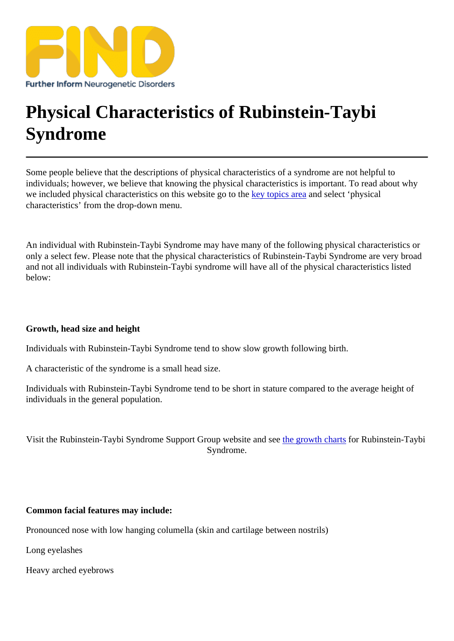## [Physical Character](https://findresources.co.uk)istics of Rubinstein-Taybi Syndrome

Some people believe that the descriptions of physical characteristics of a syndrome are not helpful to individuals; however, we believe that knowing the physical characteristics is important. To read about why we included physical characteristics on this website go the theopics areand select 'physical characteristics' from the drop-down menu.

An individual with Rubinstein-Taybi Syndrome may have many of the following physical characteristics or only a select few. Please note that the physical characteristics of Rubinstein-Taybi Syndrome are very broad and not all individuals with Rubinstein-Taybi syndrome will have all of the physical characteristics listed below:

Growth, head size and height

Individuals with Rubinstein-Taybi Syndrome tend to show slow growth following birth.

A characteristic of the syndrome is a small head size.

Individuals with Rubinstein-Taybi Syndrome tend to be short in stature compared to the average height of individuals in the general population.

Visit the Rubinstein-Taybi Syndrome Support Group website anthegrowth chart for Rubinstein-Taybi Syndrome.

Common facial features may include:

Pronounced nose with low hanging columella (skin and cartilage between nostrils)

Long eyelashes

Heavy arched eyebrows